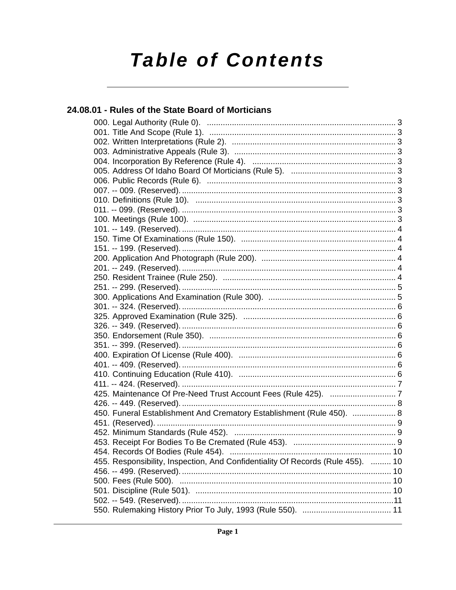# **Table of Contents**

24.08.01 - Rules of the State Board of Morticians

### 450. Funeral Establishment And Crematory Establishment (Rule 450). ................... 8 455. Responsibility, Inspection, And Confidentiality Of Records (Rule 455). ......... 10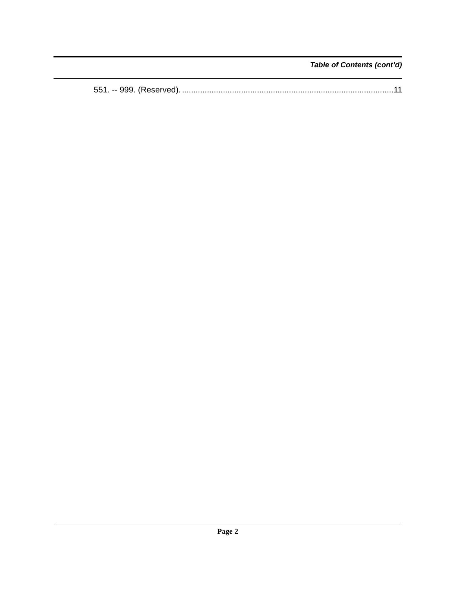Table of Contents (cont'd)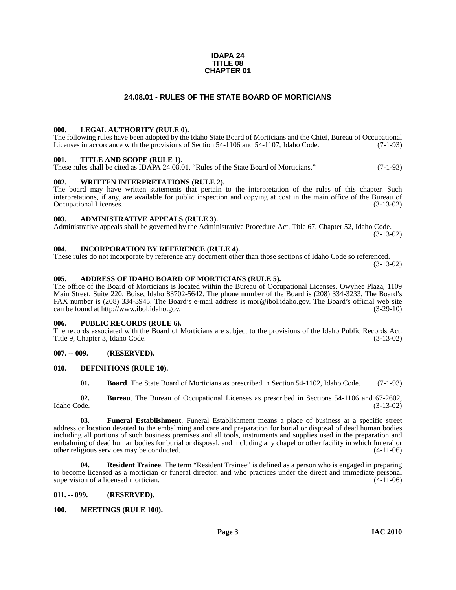#### **IDAPA 24 TITLE 08 CHAPTER 01**

#### **24.08.01 - RULES OF THE STATE BOARD OF MORTICIANS**

#### <span id="page-2-1"></span><span id="page-2-0"></span>**000. LEGAL AUTHORITY (RULE 0).**

The following rules have been adopted by the Idaho State Board of Morticians and the Chief, Bureau of Occupational Licenses in accordance with the provisions of Section 54-1106 and 54-1107, Idaho Code. (7-1-93)

#### <span id="page-2-2"></span>**001. TITLE AND SCOPE (RULE 1).**

These rules shall be cited as IDAPA 24.08.01, "Rules of the State Board of Morticians." (7-1-93)

#### <span id="page-2-3"></span>**002. WRITTEN INTERPRETATIONS (RULE 2).**

The board may have written statements that pertain to the interpretation of the rules of this chapter. Such interpretations, if any, are available for public inspection and copying at cost in the main office of the Bureau of Occupational Licenses. (3-13-02) Occupational Licenses.

#### <span id="page-2-4"></span>**003. ADMINISTRATIVE APPEALS (RULE 3).**

Administrative appeals shall be governed by the Administrative Procedure Act, Title 67, Chapter 52, Idaho Code. (3-13-02)

#### <span id="page-2-5"></span>**004. INCORPORATION BY REFERENCE (RULE 4).**

These rules do not incorporate by reference any document other than those sections of Idaho Code so referenced. (3-13-02)

#### <span id="page-2-6"></span>**005. ADDRESS OF IDAHO BOARD OF MORTICIANS (RULE 5).**

[The office of the Board of Morticians is located within the Bureau of Occupational Licenses, Owyhee Plaza, 1109](mailto:mor@ibol.idaho.gov)  Main Street, Suite 220, Boise, Idaho 83702-5642. The phone number of the Board is (208) 334-3233. The Board's FAX number is (208) 334-3945. The Board's e-mail address is mor@ibol.idaho.gov. The Board's official web site [can be found at](mailto:mor@ibol.idaho.gov) [http://www.ibol.idaho.gov. \(3-29-10\)](http://www.ibol.idaho.gov)

#### <span id="page-2-7"></span>**006. PUBLIC RECORDS (RULE 6).**

The records associated with the Board of Morticians are subject to the provisions of the Idaho Public Records Act. Title 9, Chapter 3, Idaho Code. (3-13-02)

#### <span id="page-2-8"></span>**007. -- 009. (RESERVED).**

#### <span id="page-2-9"></span>**010. DEFINITIONS (RULE 10).**

<span id="page-2-12"></span>**01. Board**. The State Board of Morticians as prescribed in Section 54-1102, Idaho Code. (7-1-93)

**02. Bureau**. The Bureau of Occupational Licenses as prescribed in Sections 54-1106 and 67-2602, Idaho Code. (3-13-02)

**03. Funeral Establishment**. Funeral Establishment means a place of business at a specific street address or location devoted to the embalming and care and preparation for burial or disposal of dead human bodies including all portions of such business premises and all tools, instruments and supplies used in the preparation and embalming of dead human bodies for burial or disposal, and including any chapel or other facility in which funeral or other religious services may be conducted. (4-11-06)

**04. Resident Trainee**. The term "Resident Trainee" is defined as a person who is engaged in preparing to become licensed as a mortician or funeral director, and who practices under the direct and immediate personal supervision of a licensed mortician. (4-11-06)

#### <span id="page-2-10"></span>**011. -- 099. (RESERVED).**

#### <span id="page-2-13"></span><span id="page-2-11"></span>**100. MEETINGS (RULE 100).**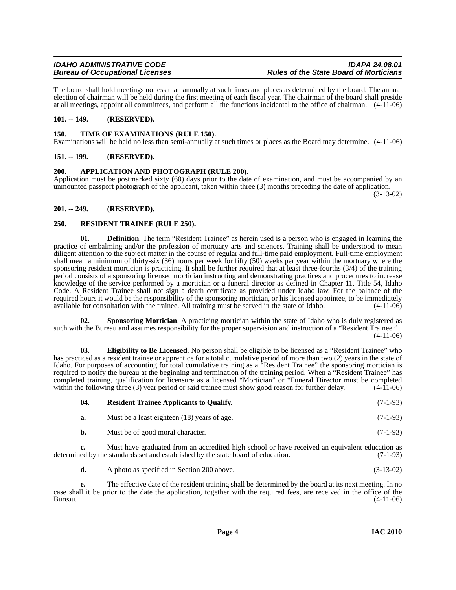The board shall hold meetings no less than annually at such times and places as determined by the board. The annual election of chairman will be held during the first meeting of each fiscal year. The chairman of the board shall preside at all meetings, appoint all committees, and perform all the functions incidental to the office of chairman. (4-11-06)

### <span id="page-3-0"></span>**101. -- 149. (RESERVED).**

#### <span id="page-3-11"></span><span id="page-3-1"></span>**150. TIME OF EXAMINATIONS (RULE 150).**

Examinations will be held no less than semi-annually at such times or places as the Board may determine. (4-11-06)

#### <span id="page-3-2"></span>**151. -- 199. (RESERVED).**

#### <span id="page-3-6"></span><span id="page-3-3"></span>**200. APPLICATION AND PHOTOGRAPH (RULE 200).**

Application must be postmarked sixty (60) days prior to the date of examination, and must be accompanied by an unmounted passport photograph of the applicant, taken within three (3) months preceding the date of application.

(3-13-02)

#### <span id="page-3-4"></span>**201. -- 249. (RESERVED).**

#### <span id="page-3-8"></span><span id="page-3-5"></span>**250. RESIDENT TRAINEE (RULE 250).**

**01. Definition**. The term "Resident Trainee" as herein used is a person who is engaged in learning the practice of embalming and/or the profession of mortuary arts and sciences. Training shall be understood to mean diligent attention to the subject matter in the course of regular and full-time paid employment. Full-time employment shall mean a minimum of thirty-six (36) hours per week for fifty (50) weeks per year within the mortuary where the sponsoring resident mortician is practicing. It shall be further required that at least three-fourths (3/4) of the training period consists of a sponsoring licensed mortician instructing and demonstrating practices and procedures to increase knowledge of the service performed by a mortician or a funeral director as defined in Chapter 11, Title 54, Idaho Code. A Resident Trainee shall not sign a death certificate as provided under Idaho law. For the balance of the required hours it would be the responsibility of the sponsoring mortician, or his licensed appointee, to be immediately available for consultation with the trainee. All training must be served in the state of Idaho. (4-11-06)

<span id="page-3-10"></span>**02. Sponsoring Mortician**. A practicing mortician within the state of Idaho who is duly registered as such with the Bureau and assumes responsibility for the proper supervision and instruction of a "Resident Trainee."  $(4-11-06)$ 

<span id="page-3-7"></span>**03. Eligibility to Be Licensed**. No person shall be eligible to be licensed as a "Resident Trainee" who has practiced as a resident trainee or apprentice for a total cumulative period of more than two (2) years in the state of Idaho. For purposes of accounting for total cumulative training as a "Resident Trainee" the sponsoring mortician is required to notify the bureau at the beginning and termination of the training period. When a "Resident Trainee" has completed training, qualification for licensure as a licensed "Mortician" or "Funeral Director must be completed within the following three (3) year period or said trainee must show good reason for further delay.  $(4-11-06)$ 

<span id="page-3-9"></span>

| 04.       | <b>Resident Trainee Applicants to Qualify.</b> | $(7-1-93)$ |
|-----------|------------------------------------------------|------------|
| а.        | Must be a least eighteen (18) years of age.    | $(7-1-93)$ |
| <b>b.</b> | Must be of good moral character.               | $(7-1-93)$ |

**c.** Must have graduated from an accredited high school or have received an equivalent education as ed by the standards set and established by the state board of education. (7-1-93) determined by the standards set and established by the state board of education.

**d.** A photo as specified in Section 200 above. (3-13-02)

**e.** The effective date of the resident training shall be determined by the board at its next meeting. In no case shall it be prior to the date the application, together with the required fees, are received in the office of the Bureau. (4-11-06)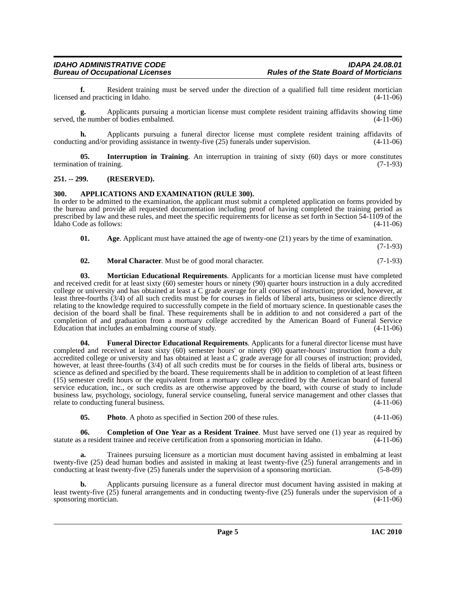**f.** Resident training must be served under the direction of a qualified full time resident mortician and practicing in Idaho. (4-11-06) licensed and practicing in Idaho.

**g.** Applicants pursuing a mortician license must complete resident training affidavits showing time served, the number of bodies embalmed.  $(4-11-06)$ 

**h.** Applicants pursuing a funeral director license must complete resident training affidavits of conducting and/or providing assistance in twenty-five (25) funerals under supervision. (4-11-06)

<span id="page-4-6"></span>**05. Interruption in Training**. An interruption in training of sixty (60) days or more constitutes on of training. (7-1-93) termination of training.

#### <span id="page-4-0"></span>**251. -- 299. (RESERVED).**

#### <span id="page-4-3"></span><span id="page-4-1"></span>**300. APPLICATIONS AND EXAMINATION (RULE 300).**

In order to be admitted to the examination, the applicant must submit a completed application on forms provided by the bureau and provide all requested documentation including proof of having completed the training period as prescribed by law and these rules, and meet the specific requirements for license as set forth in Section 54-1109 of the Idaho Code as follows: (4-11-06)

<span id="page-4-2"></span>**01.** Age. Applicant must have attained the age of twenty-one (21) years by the time of examination. (7-1-93)

<span id="page-4-8"></span><span id="page-4-7"></span>**02. Moral Character**. Must be of good moral character. (7-1-93)

**03. Mortician Educational Requirements**. Applicants for a mortician license must have completed and received credit for at least sixty (60) semester hours or ninety (90) quarter hours instruction in a duly accredited college or university and has obtained at least a C grade average for all courses of instruction; provided, however, at least three-fourths (3/4) of all such credits must be for courses in fields of liberal arts, business or science directly relating to the knowledge required to successfully compete in the field of mortuary science. In questionable cases the decision of the board shall be final. These requirements shall be in addition to and not considered a part of the completion of and graduation from a mortuary college accredited by the American Board of Funeral Service Education that includes an embalming course of study. (4-11-06)

<span id="page-4-5"></span>**04. Funeral Director Educational Requirements**. Applicants for a funeral director license must have completed and received at least sixty (60) semester hours' or ninety (90) quarter-hours' instruction from a duly accredited college or university and has obtained at least a C grade average for all courses of instruction; provided, however, at least three-fourths (3/4) of all such credits must be for courses in the fields of liberal arts, business or science as defined and specified by the board. These requirements shall be in addition to completion of at least fifteen (15) semester credit hours or the equivalent from a mortuary college accredited by the American board of funeral service education, inc., or such credits as are otherwise approved by the board, with course of study to include business law, psychology, sociology, funeral service counseling, funeral service management and other classes that relate to conducting funeral business. (4-11-06)

<span id="page-4-9"></span><span id="page-4-4"></span>**05. Photo**. A photo as specified in Section 200 of these rules. (4-11-06)

**06. Completion of One Year as a Resident Trainee**. Must have served one (1) year as required by statute as a resident trainee and receive certification from a sponsoring mortician in Idaho. (4-11-06)

**a.** Trainees pursuing licensure as a mortician must document having assisted in embalming at least twenty-five (25) dead human bodies and assisted in making at least twenty-five ( $\overline{25}$ ) funeral arrangements and in conducting at least twenty-five (25) funerals under the supervision of a sponsoring mortician. (5-8-09)

**b.** Applicants pursuing licensure as a funeral director must document having assisted in making at least twenty-five  $(25)$  funeral arrangements and in conducting twenty-five  $(25)$  funerals under the supervision of a sponsoring mortician. sponsoring mortician.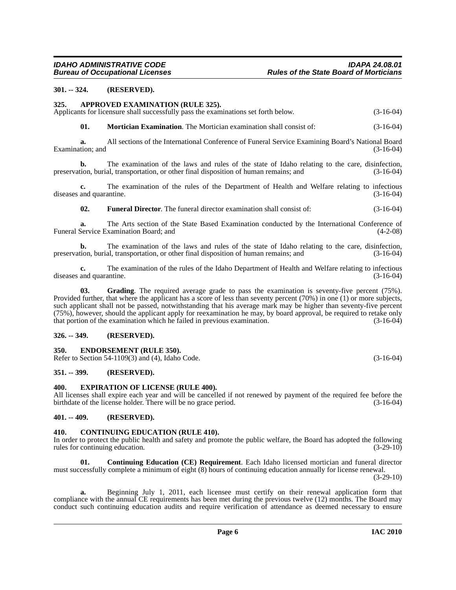#### <span id="page-5-0"></span>**301. -- 324. (RESERVED).**

#### <span id="page-5-8"></span><span id="page-5-1"></span>**325. APPROVED EXAMINATION (RULE 325).**

Applicants for licensure shall successfully pass the examinations set forth below. (3-16-04)

<span id="page-5-15"></span>**01. Mortician Examination**. The Mortician examination shall consist of: (3-16-04)

**a.** All sections of the International Conference of Funeral Service Examining Board's National Board Examination; and (3-16-04) (3-16-04)

**b.** The examination of the laws and rules of the state of Idaho relating to the care, disinfection, preservation, burial, transportation, or other final disposition of human remains; and (3-16-04)

**c.** The examination of the rules of the Department of Health and Welfare relating to infectious diseases and quarantine. (3-16-04)

<span id="page-5-13"></span>**02. Funeral Director**. The funeral director examination shall consist of: (3-16-04)

**a.** The Arts section of the State Based Examination conducted by the International Conference of Funeral Service Examination Board; and (4-2-08)

**b.** The examination of the laws and rules of the state of Idaho relating to the care, disinfection, tion, burial, transportation, or other final disposition of human remains; and (3-16-04) preservation, burial, transportation, or other final disposition of human remains; and (3-16-04)

**c.** The examination of the rules of the Idaho Department of Health and Welfare relating to infectious and quarantine. (3-16-04) diseases and quarantine.

<span id="page-5-14"></span>**03. Grading**. The required average grade to pass the examination is seventy-five percent (75%). Provided further, that where the applicant has a score of less than seventy percent (70%) in one (1) or more subjects, such applicant shall not be passed, notwithstanding that his average mark may be higher than seventy-five percent (75%), however, should the applicant apply for reexamination he may, by board approval, be required to retake only that portion of the examination which he failed in previous examination. (3-16-04)

#### <span id="page-5-2"></span>**326. -- 349. (RESERVED).**

#### <span id="page-5-11"></span><span id="page-5-3"></span>**350. ENDORSEMENT (RULE 350).**

Refer to Section 54-1109(3) and (4), Idaho Code. (3-16-04)

#### <span id="page-5-4"></span>**351. -- 399. (RESERVED).**

#### <span id="page-5-12"></span><span id="page-5-5"></span>**400. EXPIRATION OF LICENSE (RULE 400).**

All licenses shall expire each year and will be cancelled if not renewed by payment of the required fee before the birthdate of the license holder. There will be no grace period. (3-16-04)

#### <span id="page-5-6"></span>**401. -- 409. (RESERVED).**

#### <span id="page-5-9"></span><span id="page-5-7"></span>**410. CONTINUING EDUCATION (RULE 410).**

In order to protect the public health and safety and promote the public welfare, the Board has adopted the following rules for continuing education. (3-29-10) rules for continuing education.

<span id="page-5-10"></span>**01. Continuing Education (CE) Requirement**. Each Idaho licensed mortician and funeral director must successfully complete a minimum of eight (8) hours of continuing education annually for license renewal. (3-29-10)

**a.** Beginning July 1, 2011, each licensee must certify on their renewal application form that compliance with the annual CE requirements has been met during the previous twelve (12) months. The Board may conduct such continuing education audits and require verification of attendance as deemed necessary to ensure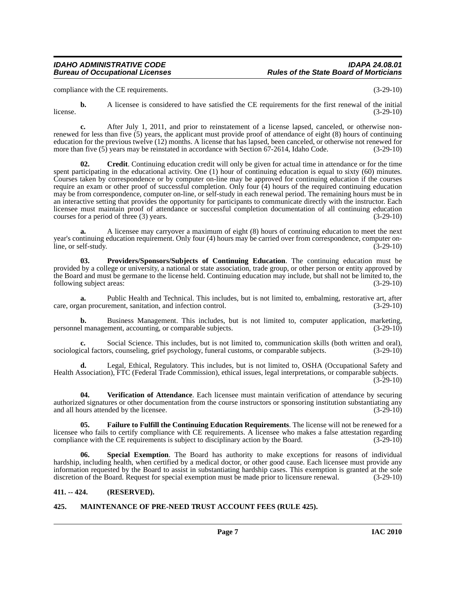#### *IDAHO ADMINISTRATIVE CODE IDAPA 24.08.01 Rules of the State Board of Morticians*

compliance with the CE requirements. (3-29-10)

**b.** A licensee is considered to have satisfied the CE requirements for the first renewal of the initial  $l$  (3-29-10)  $(3-29-10)$ 

**c.** After July 1, 2011, and prior to reinstatement of a license lapsed, canceled, or otherwise nonrenewed for less than five (5) years, the applicant must provide proof of attendance of eight (8) hours of continuing education for the previous twelve (12) months. A license that has lapsed, been canceled, or otherwise not renewed for more than five (5) years may be reinstated in accordance with Section 67-2614, Idaho Code. (3-29-10)

<span id="page-6-2"></span>**02. Credit**. Continuing education credit will only be given for actual time in attendance or for the time spent participating in the educational activity. One (1) hour of continuing education is equal to sixty (60) minutes. Courses taken by correspondence or by computer on-line may be approved for continuing education if the courses require an exam or other proof of successful completion. Only four (4) hours of the required continuing education may be from correspondence, computer on-line, or self-study in each renewal period. The remaining hours must be in an interactive setting that provides the opportunity for participants to communicate directly with the instructor. Each licensee must maintain proof of attendance or successful completion documentation of all continuing education courses for a period of three (3) years. (3-29-10)

**a.** A licensee may carryover a maximum of eight (8) hours of continuing education to meet the next year's continuing education requirement. Only four (4) hours may be carried over from correspondence, computer on-<br>(3-29-10) line, or self-study.

<span id="page-6-5"></span>**03. Providers/Sponsors/Subjects of Continuing Education**. The continuing education must be provided by a college or university, a national or state association, trade group, or other person or entity approved by the Board and must be germane to the license held. Continuing education may include, but shall not be limited to, the following subject areas:  $(3-29-10)$ 

**a.** Public Health and Technical. This includes, but is not limited to, embalming, restorative art, after care, organ procurement, sanitation, and infection control. (3-29-10)

**b.** Business Management. This includes, but is not limited to, computer application, marketing, personnel management, accounting, or comparable subjects. (3-29-10)

**c.** Social Science. This includes, but is not limited to, communication skills (both written and oral), sociological factors, counseling, grief psychology, funeral customs, or comparable subjects. (3-29-10)

**d.** Legal, Ethical, Regulatory. This includes, but is not limited to, OSHA (Occupational Safety and Health Association), FTC (Federal Trade Commission), ethical issues, legal interpretations, or comparable subjects.  $(3-29-10)$ 

<span id="page-6-7"></span>**04. Verification of Attendance**. Each licensee must maintain verification of attendance by securing authorized signatures or other documentation from the course instructors or sponsoring institution substantiating any and all hours attended by the licensee. (3-29-10) and all hours attended by the licensee.

<span id="page-6-3"></span>**05. Failure to Fulfill the Continuing Education Requirements**. The license will not be renewed for a licensee who fails to certify compliance with CE requirements. A licensee who makes a false attestation regarding compliance with the CE requirements is subject to disciplinary action by the Board. (3-29-10)

<span id="page-6-6"></span>**06. Special Exemption**. The Board has authority to make exceptions for reasons of individual hardship, including health, when certified by a medical doctor, or other good cause. Each licensee must provide any information requested by the Board to assist in substantiating hardship cases. This exemption is granted at the sole discretion of the Board. Request for special exemption must be made prior to licensure renewal. (3-29-10)

#### <span id="page-6-0"></span>**411. -- 424. (RESERVED).**

#### <span id="page-6-4"></span><span id="page-6-1"></span>**425. MAINTENANCE OF PRE-NEED TRUST ACCOUNT FEES (RULE 425).**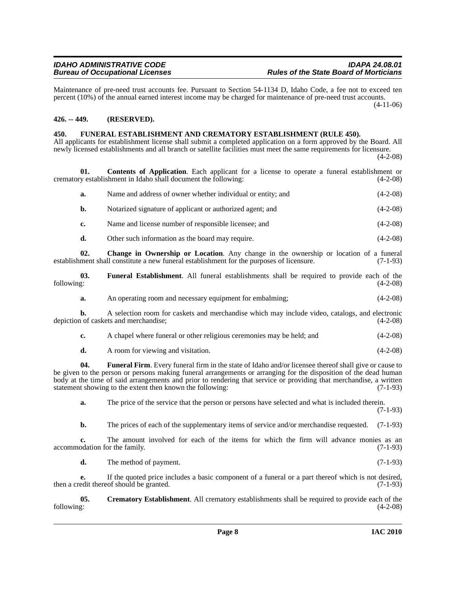Maintenance of pre-need trust accounts fee. Pursuant to Section 54-1134 D, Idaho Code, a fee not to exceed ten percent (10%) of the annual earned interest income may be charged for maintenance of pre-need trust accounts.

(4-11-06)

#### <span id="page-7-0"></span>**426. -- 449. (RESERVED).**

### <span id="page-7-6"></span><span id="page-7-1"></span>**450. FUNERAL ESTABLISHMENT AND CREMATORY ESTABLISHMENT (RULE 450).**

All applicants for establishment license shall submit a completed application on a form approved by the Board. All newly licensed establishments and all branch or satellite facilities must meet the same requirements for licensure. (4-2-08)

**01.** Contents of Application. Each applicant for a license to operate a funeral establishment or y establishment in Idaho shall document the following: (4-2-08) crematory establishment in Idaho shall document the following:

<span id="page-7-3"></span>

| а.            | Name and address of owner whether individual or entity; and | $(4-2-08)$ |
|---------------|-------------------------------------------------------------|------------|
| b.            | Notarized signature of applicant or authorized agent; and   | $(4-2-08)$ |
| $c_{\bullet}$ | Name and license number of responsible licensee; and        | $(4-2-08)$ |

<span id="page-7-2"></span>**d.** Other such information as the board may require. (4-2-08)

**02. Change in Ownership or Location**. Any change in the ownership or location of a funeral establishment shall constitute a new funeral establishment for the purposes of licensure. (7-1-93)

**03. Funeral Establishment**. All funeral establishments shall be required to provide each of the following: (4-2-08)

<span id="page-7-5"></span>**a.** An operating room and necessary equipment for embalming;  $(4-2-08)$ 

**b.** A selection room for caskets and merchandise which may include video, catalogs, and electronic 1 of caskets and merchandise; (4-2-08) depiction of caskets and merchandise;

- **c.** A chapel where funeral or other religious ceremonies may be held; and  $(4-2-08)$
- <span id="page-7-7"></span>**d.** A room for viewing and visitation. (4-2-08)

**04.** Funeral Firm. Every funeral firm in the state of Idaho and/or licensee thereof shall give or cause to be given to the person or persons making funeral arrangements or arranging for the disposition of the dead human body at the time of said arrangements and prior to rendering that service or providing that merchandise, a written statement showing to the extent then known the following: (7-1-93)

**a.** The price of the service that the person or persons have selected and what is included therein. (7-1-93)

**b.** The prices of each of the supplementary items of service and/or merchandise requested. (7-1-93)

**c.** The amount involved for each of the items for which the firm will advance monies as an accommodation for the family. (7-1-93)

<span id="page-7-4"></span>**d.** The method of payment. (7-1-93)

**e.** If the quoted price includes a basic component of a funeral or a part thereof which is not desired, then a credit thereof should be granted. (7-1-93)

**05. Crematory Establishment**. All crematory establishments shall be required to provide each of the following: (4-2-08)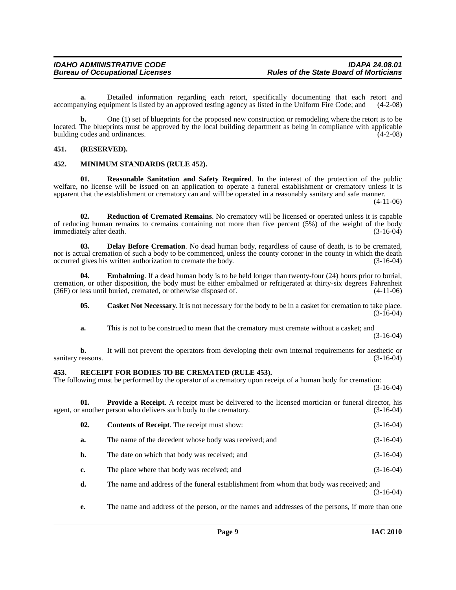**a.** Detailed information regarding each retort, specifically documenting that each retort and accompanying equipment is listed by an approved testing agency as listed in the Uniform Fire Code; and (4-2-08)

**b.** One (1) set of blueprints for the proposed new construction or remodeling where the retort is to be located. The blueprints must be approved by the local building department as being in compliance with applicable building codes and ordinances.

#### <span id="page-8-0"></span>**451. (RESERVED).**

#### <span id="page-8-4"></span><span id="page-8-1"></span>**452. MINIMUM STANDARDS (RULE 452).**

<span id="page-8-8"></span>**01. Reasonable Sanitation and Safety Required**. In the interest of the protection of the public welfare, no license will be issued on an application to operate a funeral establishment or crematory unless it is apparent that the establishment or crematory can and will be operated in a reasonably sanitary and safe manner.

(4-11-06)

<span id="page-8-10"></span>**02. Reduction of Cremated Remains**. No crematory will be licensed or operated unless it is capable of reducing human remains to cremains containing not more than five percent (5%) of the weight of the body immediately after death. (3-16-04)

<span id="page-8-5"></span>**03. Delay Before Cremation**. No dead human body, regardless of cause of death, is to be cremated, nor is actual cremation of such a body to be commenced, unless the county coroner in the county in which the death occurred gives his written authorization to cremate the body. (3-16-04)

**04. Embalming**. If a dead human body is to be held longer than twenty-four (24) hours prior to burial, cremation, or other disposition, the body must be either embalmed or refrigerated at thirty-six degrees Fahrenheit  $(36F)$  or less until buried, cremated, or otherwise disposed of.

<span id="page-8-6"></span><span id="page-8-3"></span>**05. Casket Not Necessary**. It is not necessary for the body to be in a casket for cremation to take place.  $(3-16-04)$ 

**a.** This is not to be construed to mean that the crematory must cremate without a casket; and

(3-16-04)

**b.** It will not prevent the operators from developing their own internal requirements for aesthetic or reasons. (3-16-04) sanitary reasons.

#### <span id="page-8-9"></span><span id="page-8-2"></span>**453. RECEIPT FOR BODIES TO BE CREMATED (RULE 453).**

The following must be performed by the operator of a crematory upon receipt of a human body for cremation: (3-16-04)

**01. Provide a Receipt**. A receipt must be delivered to the licensed mortician or funeral director, his another person who delivers such body to the crematory. (3-16-04) agent, or another person who delivers such body to the crematory.

<span id="page-8-7"></span>

| 02. | <b>Contents of Receipt.</b> The receipt must show:    | $(3-16-04)$ |
|-----|-------------------------------------------------------|-------------|
| a.  | The name of the decedent whose body was received; and | $(3-16-04)$ |
| b.  | The date on which that body was received; and         | $(3-16-04)$ |
| c.  | The place where that body was received; and           | $(3-16-04)$ |

**d.** The name and address of the funeral establishment from whom that body was received; and (3-16-04)

**e.** The name and address of the person, or the names and addresses of the persons, if more than one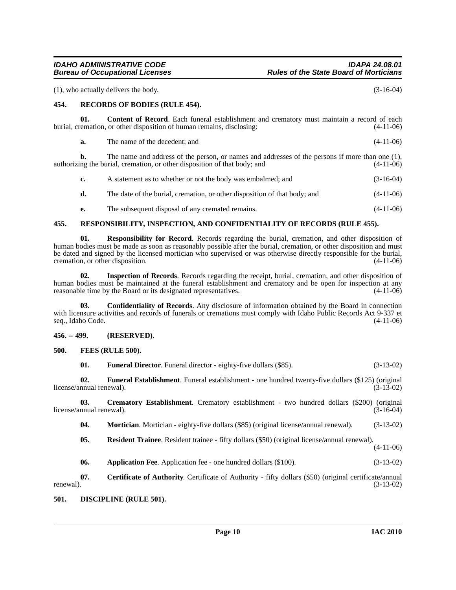(1), who actually delivers the body. (3-16-04)

#### <span id="page-9-13"></span><span id="page-9-0"></span>**454. RECORDS OF BODIES (RULE 454).**

**01. Content of Record**. Each funeral establishment and crematory must maintain a record of each burial, cremation, or other disposition of human remains, disclosing: (4-11-06)

<span id="page-9-6"></span>

| а. | The name of the decedent: and | $(4-11-06)$ |
|----|-------------------------------|-------------|
|    |                               |             |

**b.** The name and address of the person, or names and addresses of the persons if more than one (1), ing the burial, cremation, or other disposition of that body; and (4-11-06) authorizing the burial, cremation, or other disposition of that body; and

<span id="page-9-15"></span>

| c. | A statement as to whether or not the body was embalmed; and               | $(3-16-04)$ |
|----|---------------------------------------------------------------------------|-------------|
| d. | The date of the burial, cremation, or other disposition of that body; and | $(4-11-06)$ |
| е. | The subsequent disposal of any cremated remains.                          | $(4-11-06)$ |

#### <span id="page-9-1"></span>**455. RESPONSIBILITY, INSPECTION, AND CONFIDENTIALITY OF RECORDS (RULE 455).**

**01. Responsibility for Record**. Records regarding the burial, cremation, and other disposition of human bodies must be made as soon as reasonably possible after the burial, cremation, or other disposition and must be dated and signed by the licensed mortician who supervised or was otherwise directly responsible for the burial, cremation, or other disposition. (4-11-06)

**02. Inspection of Records**. Records regarding the receipt, burial, cremation, and other disposition of human bodies must be maintained at the funeral establishment and crematory and be open for inspection at any reasonable time by the Board or its designated representatives. (4-11-06) reasonable time by the Board or its designated representatives.

**03. Confidentiality of Records**. Any disclosure of information obtained by the Board in connection with licensure activities and records of funerals or cremations must comply with Idaho Public Records Act 9-337 et seq., Idaho Code. (4-11-06) seq., Idaho Code.

#### <span id="page-9-2"></span>**456. -- 499. (RESERVED).**

#### <span id="page-9-3"></span>**500. FEES (RULE 500).**

<span id="page-9-11"></span><span id="page-9-10"></span><span id="page-9-9"></span>

|  | <b>Funeral Director.</b> Funeral director - eighty-five dollars (\$85). | $(3-13-02)$ |
|--|-------------------------------------------------------------------------|-------------|
|--|-------------------------------------------------------------------------|-------------|

**02. Funeral Establishment**. Funeral establishment - one hundred twenty-five dollars (\$125) (original license/annual renewal).

**03. Crematory Establishment**. Crematory establishment - two hundred dollars (\$200) (original nnual renewal). (3-16-04) license/annual renewal).

<span id="page-9-12"></span><span id="page-9-7"></span>**04. Mortician**. Mortician - eighty-five dollars (\$85) (original license/annual renewal). (3-13-02)

- <span id="page-9-14"></span>**05. Resident Trainee**. Resident trainee - fifty dollars (\$50) (original license/annual renewal). (4-11-06)
- <span id="page-9-5"></span>**06.** Application Fee. Application fee - one hundred dollars (\$100). (3-13-02)

**07. Certificate of Authority**. Certificate of Authority - fifty dollars (\$50) (original certificate/annual renewal).  $(3-13-02)$ 

#### <span id="page-9-8"></span><span id="page-9-4"></span>**501. DISCIPLINE (RULE 501).**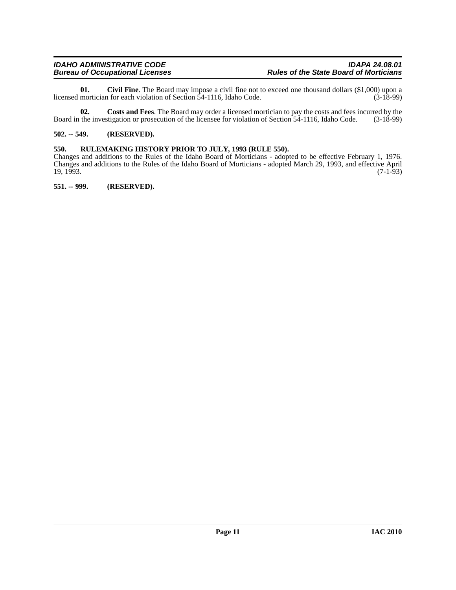<span id="page-10-3"></span>**01.** Civil Fine. The Board may impose a civil fine not to exceed one thousand dollars (\$1,000) upon a mortician for each violation of Section 54-1116, Idaho Code. (3-18-99) licensed mortician for each violation of Section 54-1116, Idaho Code.

**02.** Costs and Fees. The Board may order a licensed mortician to pay the costs and fees incurred by the the investigation or prosecution of the licensee for violation of Section 54-1116, Idaho Code. (3-18-99) Board in the investigation or prosecution of the licensee for violation of Section 54-1116, Idaho Code.

#### <span id="page-10-0"></span>**502. -- 549. (RESERVED).**

#### <span id="page-10-1"></span>**550. RULEMAKING HISTORY PRIOR TO JULY, 1993 (RULE 550).**

Changes and additions to the Rules of the Idaho Board of Morticians - adopted to be effective February 1, 1976. Changes and additions to the Rules of the Idaho Board of Morticians - adopted March 29, 1993, and effective April  $19, 1993.$  (7-1-93)

<span id="page-10-2"></span>**551. -- 999. (RESERVED).**